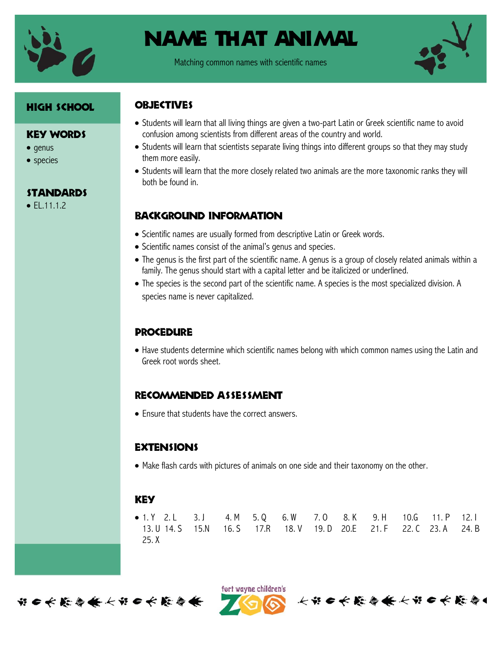

Matching common names with scientific names



## High School

### Key Words

- $\bullet$  genus
- species

## **STANDARDS**

 $\bullet$  FL.11.1.2

## **OBJECTIVES**

- Students will learn that all living things are given a two-part Latin or Greek scientific name to avoid confusion among scientists from different areas of the country and world.
- Students will learn that scientists separate living things into different groups so that they may study them more easily.
- Students will learn that the more closely related two animals are the more taxonomic ranks they will both be found in.

## Background information

- Scientific names are usually formed from descriptive Latin or Greek words.
- Scientific names consist of the animal's genus and species.
- The genus is the first part of the scientific name. A genus is a group of closely related animals within a family. The genus should start with a capital letter and be italicized or underlined.
- The species is the second part of the scientific name. A species is the most specialized division. A species name is never capitalized.

## **PROCEDURE**

 Have students determine which scientific names belong with which common names using the Latin and Greek root words sheet.

## Recommended assessment

• Fnsure that students have the correct answers.

## **EXTENSIONS**

Make flash cards with pictures of animals on one side and their taxonomy on the other.

## **KEY**

|       | • 1. Y 2. L 3. J 4. M 5. Q 6. W 7. O 8. K 9. H 10.G 11. P 12. I                   |  |  |  |  |
|-------|-----------------------------------------------------------------------------------|--|--|--|--|
|       | 13. U 14. S  15. N  16. S  17. R  18. V  19. D  20. E  21. F  22. C  23. A  24. B |  |  |  |  |
| 25. X |                                                                                   |  |  |  |  |



ført wayne children's 长节6长能会长长节6长能会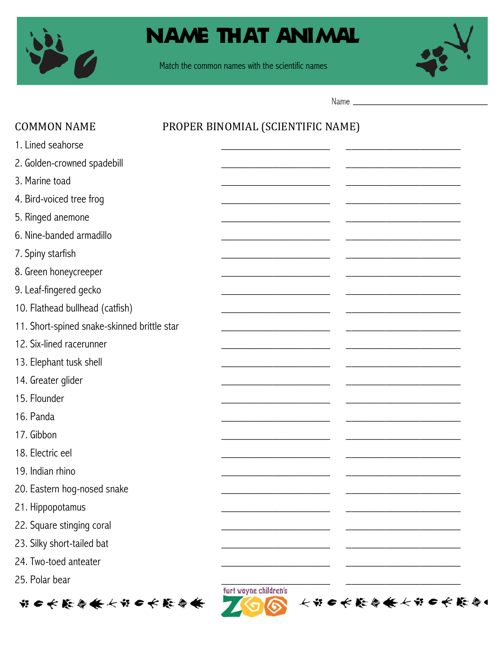

Match the common names with the scientific names



Name

| <b>COMMON NAME</b>                          | PROPER BINOMIAL (SCIENTIFIC NAME)      |
|---------------------------------------------|----------------------------------------|
| 1. Lined seahorse                           |                                        |
| 2. Golden-crowned spadebill                 |                                        |
| 3. Marine toad                              |                                        |
| 4. Bird-voiced tree frog                    |                                        |
| 5. Ringed anemone                           |                                        |
| 6. Nine-banded armadillo                    |                                        |
| 7. Spiny starfish                           |                                        |
| 8. Green honeycreeper                       |                                        |
| 9. Leaf-fingered gecko                      |                                        |
| 10. Flathead bullhead (catfish)             |                                        |
| 11. Short-spined snake-skinned brittle star |                                        |
| 12. Six-lined racerunner                    |                                        |
| 13. Elephant tusk shell                     |                                        |
| 14. Greater glider                          |                                        |
| 15. Flounder                                |                                        |
| 16. Panda                                   |                                        |
| 17. Gibbon                                  |                                        |
| 18. Electric eel                            |                                        |
| 19. Indian rhino                            |                                        |
| 20. Eastern hog-nosed snake                 |                                        |
| 21. Hippopotamus                            |                                        |
| 22. Square stinging coral                   |                                        |
| 23. Silky short-tailed bat                  |                                        |
| 24. Two-toed anteater                       |                                        |
| 25. Polar bear                              |                                        |
| ☆●长能参会长ゃ●长能参会                               | ført wayne children's<br>长出口长能自食长出口长能自 |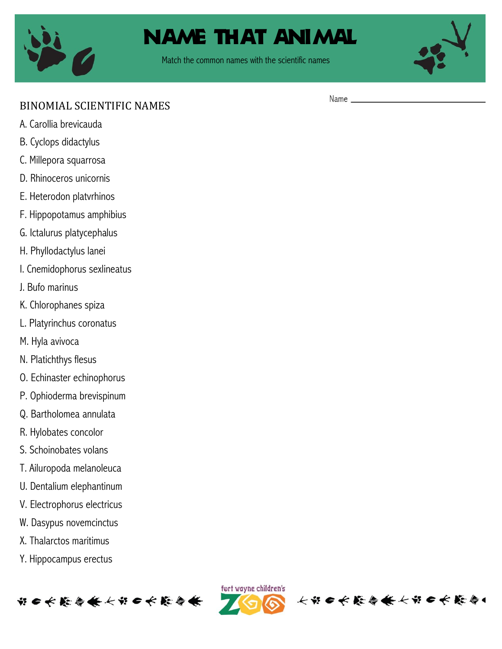

Match the common names with the scientific names



## BINOMIAL SCIENTIFIC NAMES

- A. Carollia brevicauda
- B. Cyclops didactylus
- C. Millepora squarrosa
- D. Rhinoceros unicornis
- E. Heterodon platvrhinos
- F. Hippopotamus amphibius
- G. Ictalurus platycephalus
- H. Phyllodactylus lanei
- I. Cnemidophorus sexlineatus
- J. Bufo marinus
- K. Chlorophanes spiza
- L. Platyrinchus coronatus
- M. Hyla avivoca
- N. Platichthys flesus
- O. Echinaster echinophorus
- P. Ophioderma brevispinum
- Q. Bartholomea annulata
- R. Hylobates concolor
- S. Schoinobates volans
- T. Ailuropoda melanoleuca
- U. Dentalium elephantinum
- V. Electrophorus electricus
- W. Dasypus novemcinctus
- X. Thalarctos maritimus
- Y. Hippocampus erectus





大部田长能会长大部田长能会